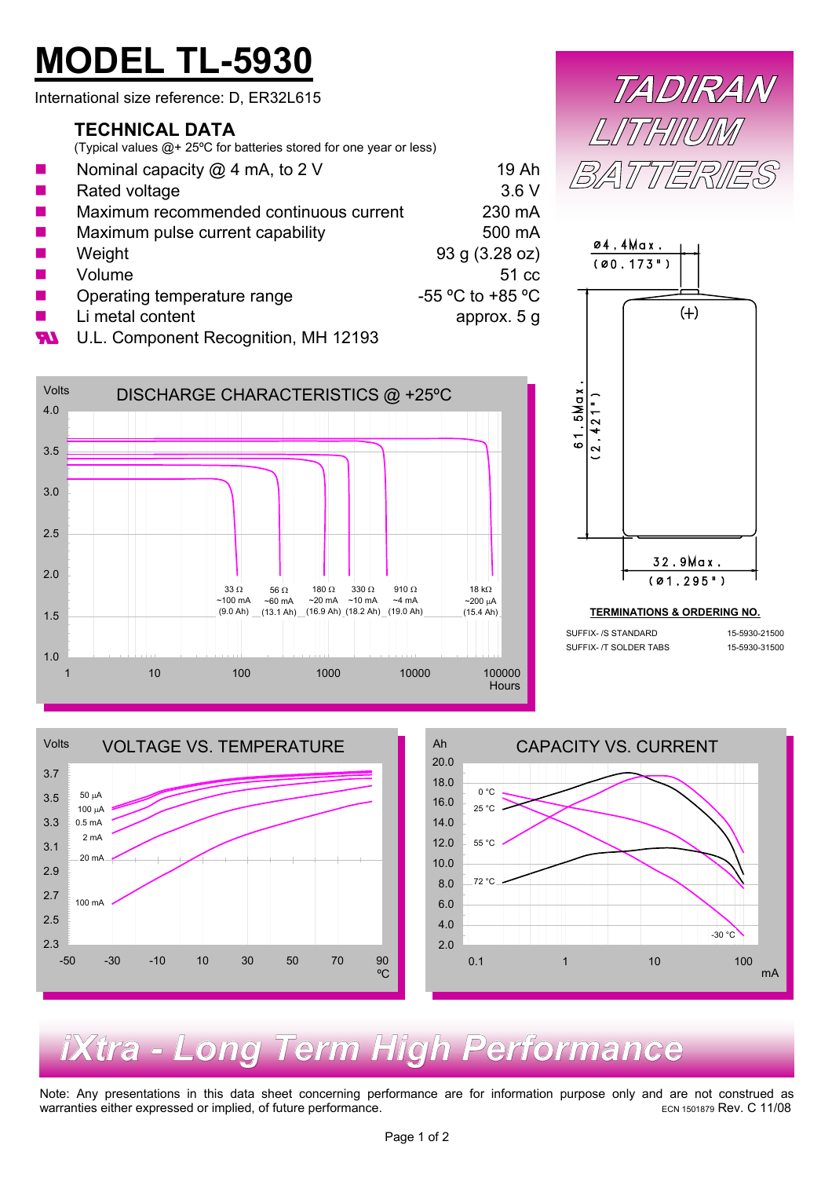# **MODEL TL-5930**

International size reference: D, ER32L615

#### **TECHNICAL DATA**

(Typical values @+ 25ºC for batteries stored for one year or less)

| ш | Nominal capacity $@$ 4 mA, to 2 V      | 19 Ah                                |
|---|----------------------------------------|--------------------------------------|
| ш | Rated voltage                          | 3.6V                                 |
| ш | Maximum recommended continuous current | 230 mA                               |
| ш | Maximum pulse current capability       | 500 mA                               |
| ш | Weight                                 | 93 g (3.28 oz)                       |
| ш | Volume                                 | 51 cc                                |
|   | Operating temperature range            | -55 $^{\circ}$ C to +85 $^{\circ}$ C |
|   | Li metal content                       | approx. 5 g                          |

**W** U.L. Component Recognition, MH 12193







SUFFIX- /S STANDARD 15-5930-21500

SUFFIX- /T SOLDER TABS 15-5930-31500



### *iXtra - Long Term High Performance*

Note: Any presentations in this data sheet concerning performance are for information purpose only and are not construed as warranties either expressed or implied, of future performance. ECN 1501879 Rev. C 11/08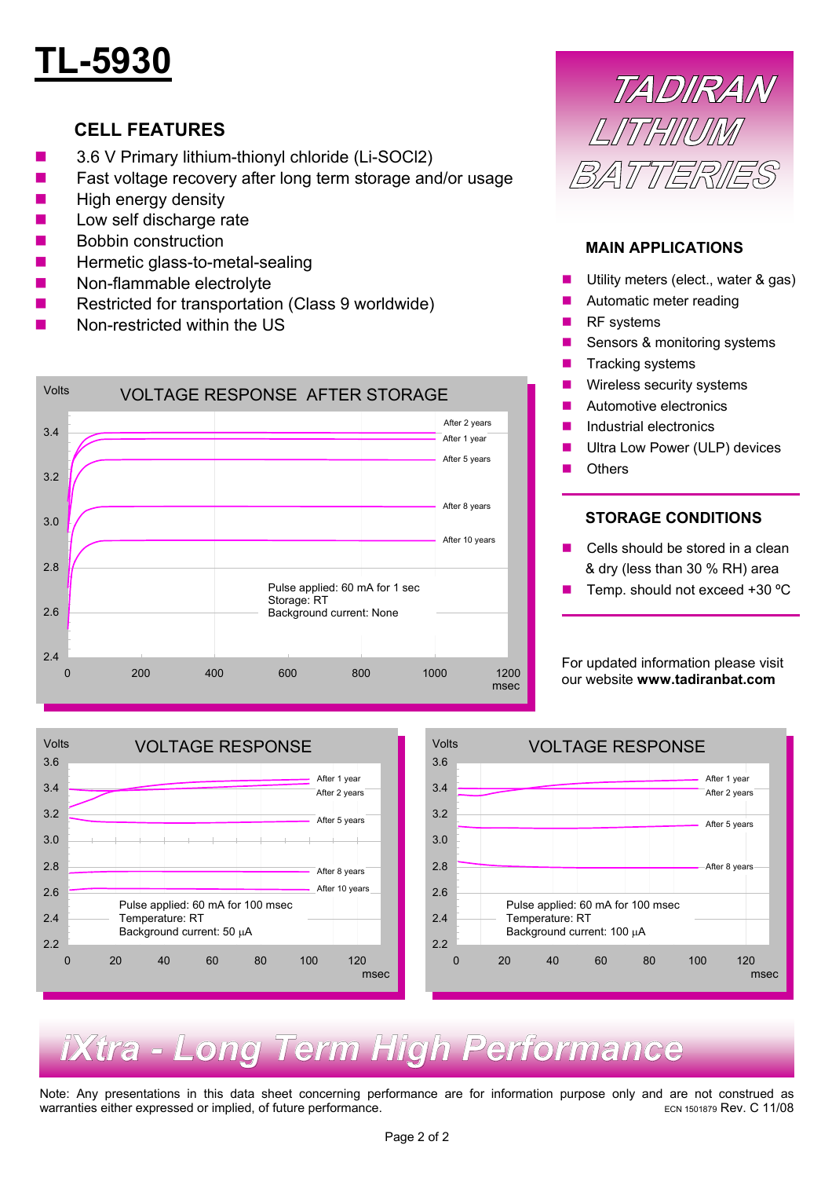## **TL-5930**

#### **CELL FEATURES**

- 3.6 V Primary lithium-thionyl chloride (Li-SOCl2)
- Fast voltage recovery after long term storage and/or usage
- $\blacksquare$  High energy density
- Low self discharge rate
- **Bobbin construction**
- Hermetic glass-to-metal-sealing
- Non-flammable electrolyte
- Restricted for transportation (Class 9 worldwide)
- Non-restricted within the US



## TADIRAN LITHINIMI **BATTERIES**

#### **MAIN APPLICATIONS**

- Utility meters (elect., water & gas)
- Automatic meter reading
- **RF** systems
- Sensors & monitoring systems
- Tracking systems
- Wireless security systems
- **Automotive electronics**
- **Industrial electronics**
- Ultra Low Power (ULP) devices
- **Others**

#### **STORAGE CONDITIONS**

- Cells should be stored in a clean & dry (less than 30 % RH) area
- Temp. should not exceed +30 ºC

For updated information please visit our website **www.tadiranbat.com**



### *iXtra - Long Term High Performance*

Note: Any presentations in this data sheet concerning performance are for information purpose only and are not construed as warranties either expressed or implied, of future performance. ECN <sup>1501879</sup> Rev. C 11/08